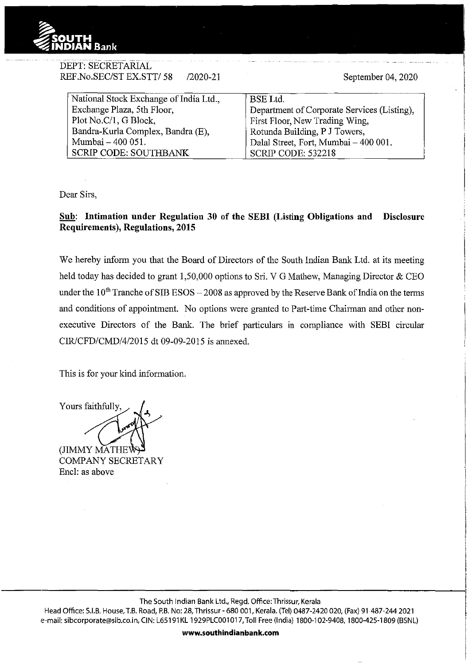

DEPT: SECRETARIAL

| REF.No.SEC/ST EX.STT/ 58<br>$/2020 - 21$ | September 04, 2020                          |
|------------------------------------------|---------------------------------------------|
| National Stock Exchange of India Ltd.,   | <b>BSE</b> Ltd.                             |
| Exchange Plaza, 5th Floor,               | Department of Corporate Services (Listing), |
| Plot No.C/1, G Block,                    | First Floor, New Trading Wing,              |
| Bandra-Kurla Complex, Bandra (E),        | Rotunda Building, P J Towers,               |
| Mumbai - 400 051.                        | Dalal Street, Fort, Mumbai - 400 001.       |
| <b>SCRIP CODE: SOUTHBANK</b>             | <b>SCRIP CODE: 532218</b>                   |

Dear Sirs,

## **Sub: Intimation under Regulation 30 of the SEBI (Listing Obligations and Disclosure Requirements), Regulations, 2015**

We hereby inform you that the Board of Directors of the South Indian Bank Ltd. at its meeting held today has decided to grant 1,50,000 options to Sri. V G Mathew, Managing Director & CEO under the  $10^{th}$  Tranche of SIB ESOS - 2008 as approved by the Reserve Bank of India on the terms and conditions of appointment. No options were granted to Part-time Chairman and other nonexecutive Directors of the Bank. The brief particulars in compliance with SEBI circular CIR/CFD/CMD/4/2015 dt 09-09-2015 is annexed.

This is for your kind information.

Yours faithfully

(JIMMY MATHE COMPANY SECRETARY Encl: as above